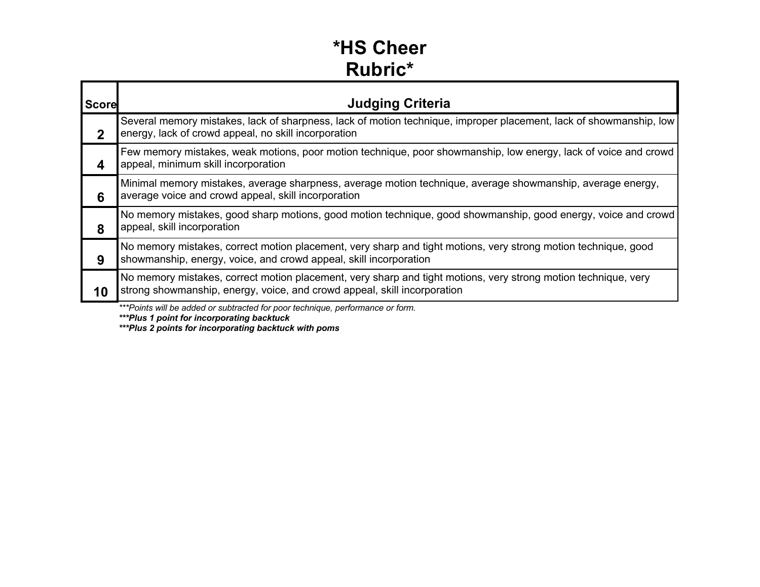#### **\*HS Cheer Rubric\***

| <b>Score</b> | <b>Judging Criteria</b>                                                                                                                                                                    |
|--------------|--------------------------------------------------------------------------------------------------------------------------------------------------------------------------------------------|
| 2            | Several memory mistakes, lack of sharpness, lack of motion technique, improper placement, lack of showmanship, low<br>energy, lack of crowd appeal, no skill incorporation                 |
| 4            | Few memory mistakes, weak motions, poor motion technique, poor showmanship, low energy, lack of voice and crowd<br>appeal, minimum skill incorporation                                     |
| 6            | Minimal memory mistakes, average sharpness, average motion technique, average showmanship, average energy,<br>average voice and crowd appeal, skill incorporation                          |
| 8            | No memory mistakes, good sharp motions, good motion technique, good showmanship, good energy, voice and crowd<br>appeal, skill incorporation                                               |
| 9            | No memory mistakes, correct motion placement, very sharp and tight motions, very strong motion technique, good<br>showmanship, energy, voice, and crowd appeal, skill incorporation        |
| 10           | No memory mistakes, correct motion placement, very sharp and tight motions, very strong motion technique, very<br>strong showmanship, energy, voice, and crowd appeal, skill incorporation |
|              | *** Points will be added or subtracted for poor technique, performance or form.                                                                                                            |

*\*\*\*Plus 1 point for incorporating backtuck*

*\*\*\*Plus 2 points for incorporating backtuck with poms*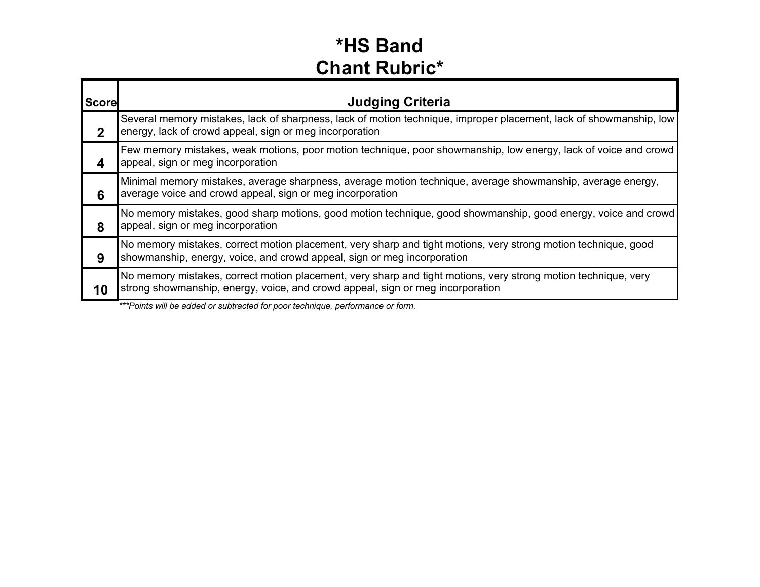#### **\*HS Band Chant Rubric\***

| <b>Score</b> | <b>Judging Criteria</b>                                                                                                                                                                          |
|--------------|--------------------------------------------------------------------------------------------------------------------------------------------------------------------------------------------------|
| $\mathbf 2$  | Several memory mistakes, lack of sharpness, lack of motion technique, improper placement, lack of showmanship, low<br>energy, lack of crowd appeal, sign or meg incorporation                    |
|              | Few memory mistakes, weak motions, poor motion technique, poor showmanship, low energy, lack of voice and crowd<br>appeal, sign or meg incorporation                                             |
| 6            | Minimal memory mistakes, average sharpness, average motion technique, average showmanship, average energy,<br>average voice and crowd appeal, sign or meg incorporation                          |
| 8            | No memory mistakes, good sharp motions, good motion technique, good showmanship, good energy, voice and crowd<br>appeal, sign or meg incorporation                                               |
| 9            | No memory mistakes, correct motion placement, very sharp and tight motions, very strong motion technique, good<br>showmanship, energy, voice, and crowd appeal, sign or meg incorporation        |
| 10           | No memory mistakes, correct motion placement, very sharp and tight motions, very strong motion technique, very<br>strong showmanship, energy, voice, and crowd appeal, sign or meg incorporation |
|              | *** Points will be added or subtracted for poor technique, performance or form.                                                                                                                  |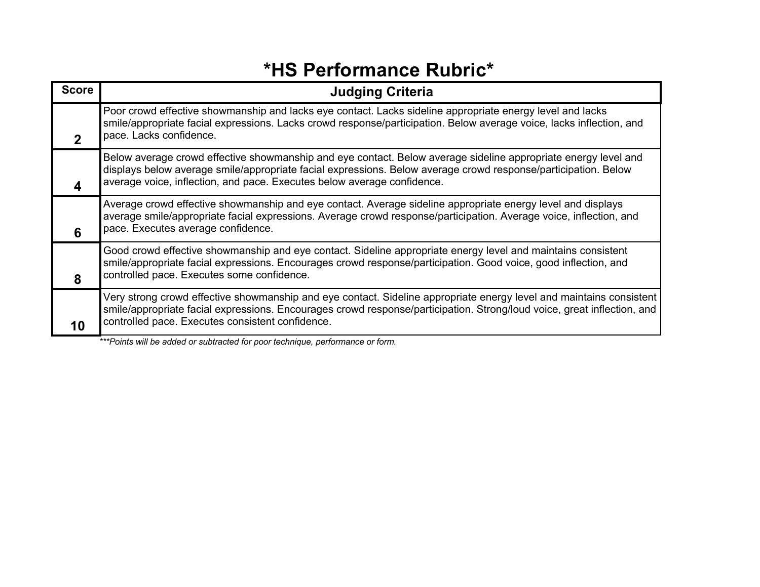#### **\*HS Performance Rubric\***

| <b>Score</b> | <b>Judging Criteria</b>                                                                                                                                                                                                                                                                                     |
|--------------|-------------------------------------------------------------------------------------------------------------------------------------------------------------------------------------------------------------------------------------------------------------------------------------------------------------|
|              | Poor crowd effective showmanship and lacks eye contact. Lacks sideline appropriate energy level and lacks<br>smile/appropriate facial expressions. Lacks crowd response/participation. Below average voice, lacks inflection, and<br>pace. Lacks confidence.                                                |
|              | Below average crowd effective showmanship and eye contact. Below average sideline appropriate energy level and<br>displays below average smile/appropriate facial expressions. Below average crowd response/participation. Below<br>average voice, inflection, and pace. Executes below average confidence. |
| 6            | Average crowd effective showmanship and eye contact. Average sideline appropriate energy level and displays<br>average smile/appropriate facial expressions. Average crowd response/participation. Average voice, inflection, and<br>pace. Executes average confidence.                                     |
| 8            | Good crowd effective showmanship and eye contact. Sideline appropriate energy level and maintains consistent<br>smile/appropriate facial expressions. Encourages crowd response/participation. Good voice, good inflection, and<br>controlled pace. Executes some confidence.                               |
| 10           | Very strong crowd effective showmanship and eye contact. Sideline appropriate energy level and maintains consistent<br>smile/appropriate facial expressions. Encourages crowd response/participation. Strong/loud voice, great inflection, and<br>controlled pace. Executes consistent confidence.          |
|              | ***Points will be added or subtracted for poor technique, performance or form.                                                                                                                                                                                                                              |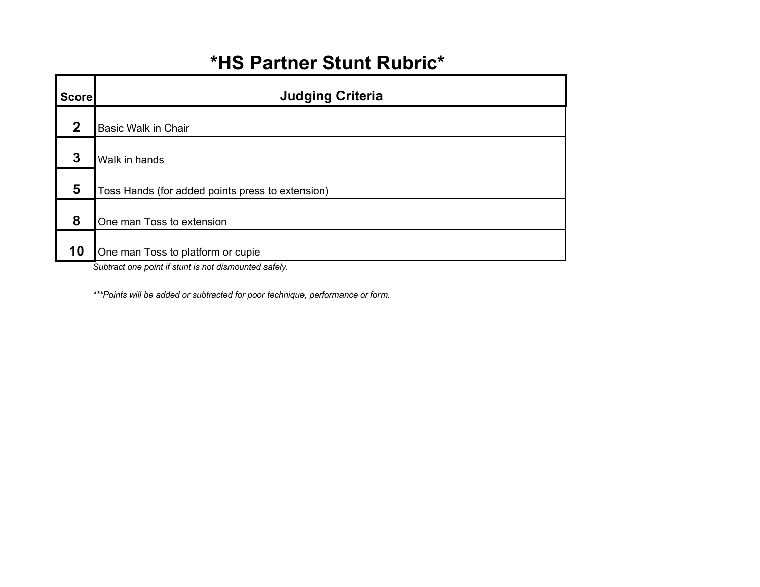## **\*HS Partner Stunt Rubric\***

| <b>Score</b> | <b>Judging Criteria</b>                          |
|--------------|--------------------------------------------------|
| $\mathbf{2}$ | <b>Basic Walk in Chair</b>                       |
| 3            | Walk in hands                                    |
| 5            | Toss Hands (for added points press to extension) |
| 8            | One man Toss to extension                        |
| 10           | One man Toss to platform or cupie                |

*Subtract one point if stunt is not dismounted safely.*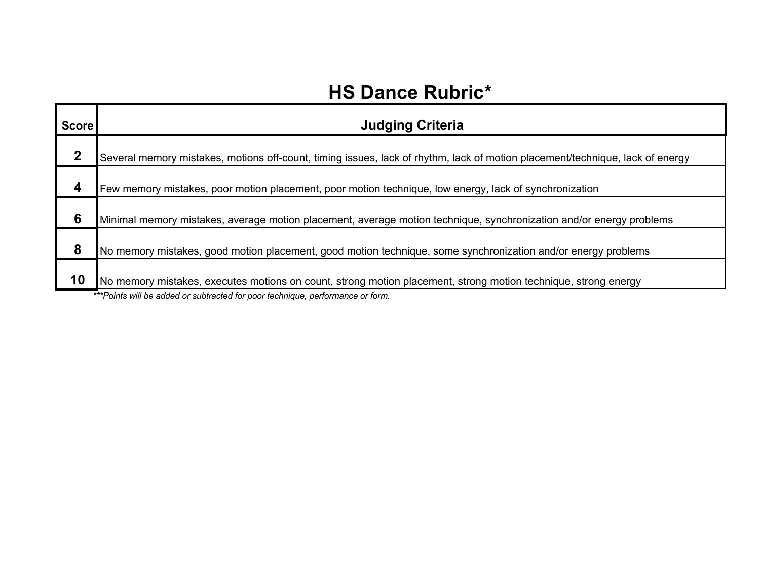## **HS Dance Rubric\***

| <b>Score</b> | <b>Judging Criteria</b>                                                                                                       |
|--------------|-------------------------------------------------------------------------------------------------------------------------------|
| ּמ           | Several memory mistakes, motions off-count, timing issues, lack of rhythm, lack of motion placement/technique, lack of energy |
|              | Few memory mistakes, poor motion placement, poor motion technique, low energy, lack of synchronization                        |
| 6            | Minimal memory mistakes, average motion placement, average motion technique, synchronization and/or energy problems           |
| 8            | No memory mistakes, good motion placement, good motion technique, some synchronization and/or energy problems                 |
| 10           | No memory mistakes, executes motions on count, strong motion placement, strong motion technique, strong energy                |
|              | ***Points will be added or subtracted for poor technique, performance or form.                                                |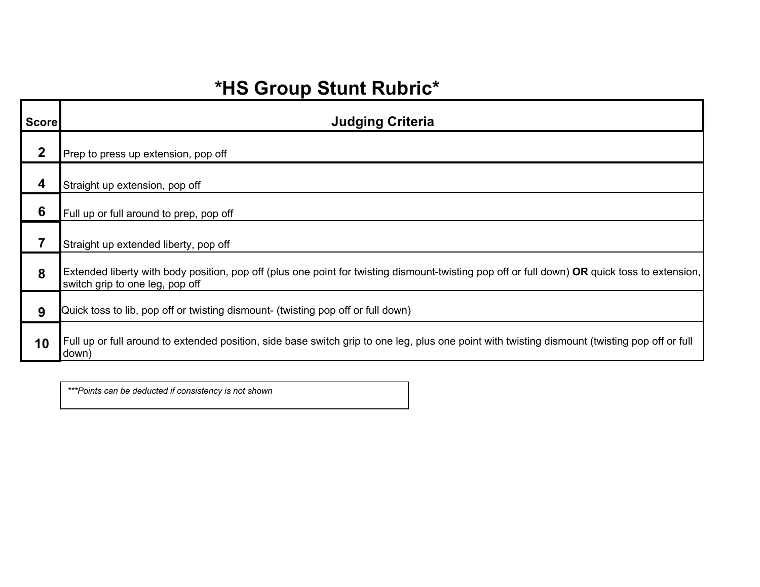# **\*HS Group Stunt Rubric\***

| Score           | <b>Judging Criteria</b>                                                                                                                                                          |
|-----------------|----------------------------------------------------------------------------------------------------------------------------------------------------------------------------------|
| $\mathbf 2$     | Prep to press up extension, pop off                                                                                                                                              |
| 4               | Straight up extension, pop off                                                                                                                                                   |
| $6\phantom{1}6$ | Full up or full around to prep, pop off                                                                                                                                          |
|                 | Straight up extended liberty, pop off                                                                                                                                            |
| 8               | Extended liberty with body position, pop off (plus one point for twisting dismount-twisting pop off or full down) OR quick toss to extension,<br>switch grip to one leg, pop off |
| 9               | Quick toss to lib, pop off or twisting dismount- (twisting pop off or full down)                                                                                                 |
| 10              | Full up or full around to extended position, side base switch grip to one leg, plus one point with twisting dismount (twisting pop off or full<br>down)                          |

*\*\*\*Points can be deducted if consistency is not shown*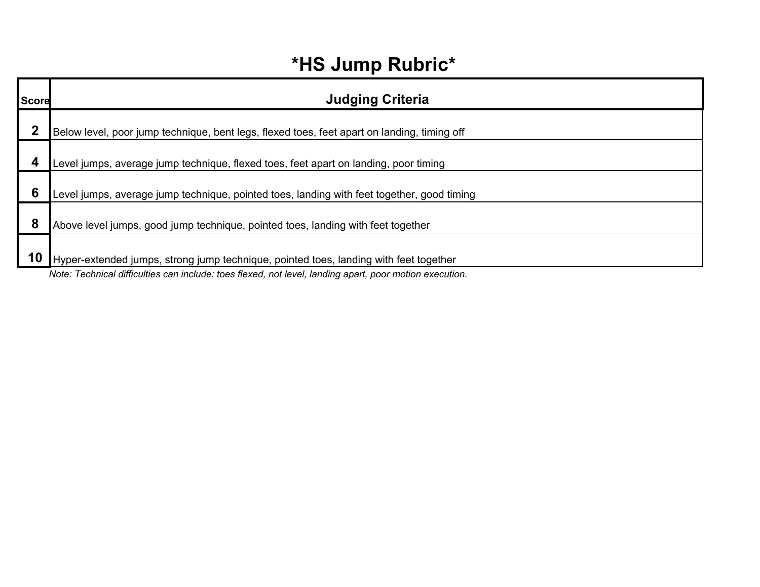## **\*HS Jump Rubric\***

| Score | <b>Judging Criteria</b>                                                                                 |
|-------|---------------------------------------------------------------------------------------------------------|
| າ     | Below level, poor jump technique, bent legs, flexed toes, feet apart on landing, timing off             |
|       | Level jumps, average jump technique, flexed toes, feet apart on landing, poor timing                    |
| 6     | Level jumps, average jump technique, pointed toes, landing with feet together, good timing              |
| 8     | Above level jumps, good jump technique, pointed toes, landing with feet together                        |
| 10    | Hyper-extended jumps, strong jump technique, pointed toes, landing with feet together                   |
|       | Note: Technical difficulties can include: toes flexed, not level, landing apart, poor motion execution. |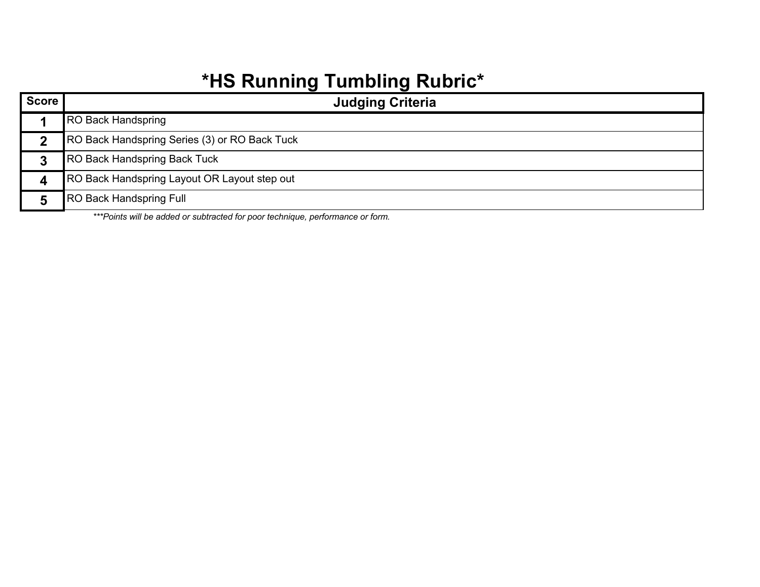# **\*HS Running Tumbling Rubric\***

| <b>Score</b> | <b>Judging Criteria</b>                       |
|--------------|-----------------------------------------------|
|              | <b>RO Back Handspring</b>                     |
|              | RO Back Handspring Series (3) or RO Back Tuck |
|              | <b>RO Back Handspring Back Tuck</b>           |
|              | RO Back Handspring Layout OR Layout step out  |
|              | <b>RO Back Handspring Full</b>                |